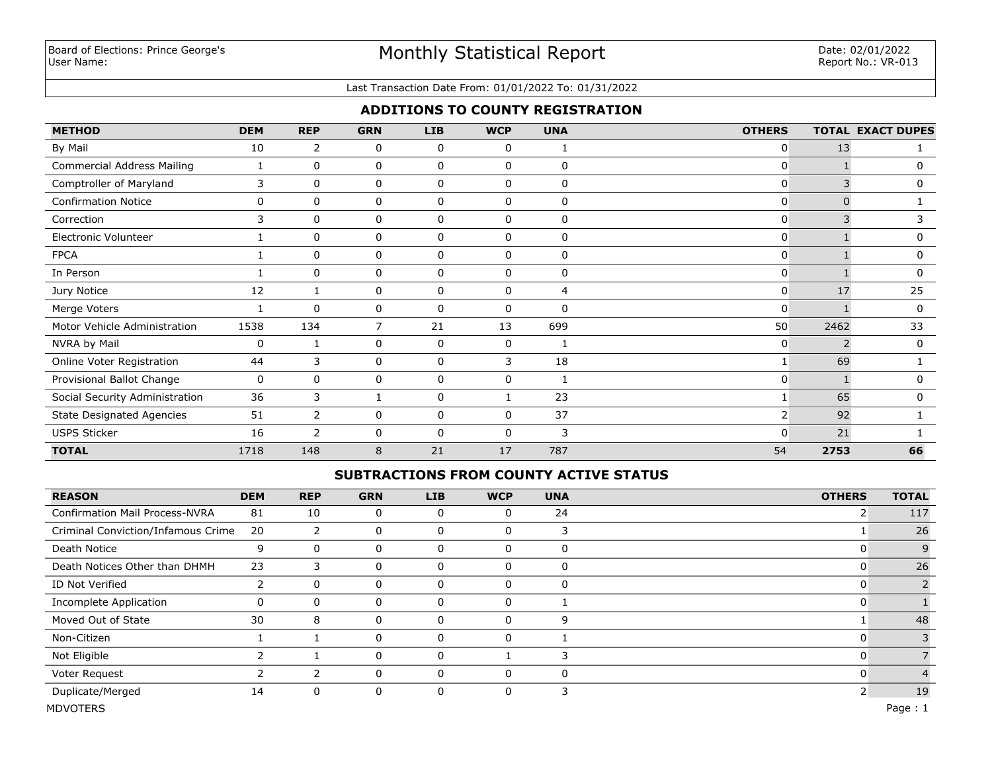# Monthly Statistical Report

#### Last Transaction Date From: 01/01/2022 To: 01/31/2022

## **ADDITIONS TO COUNTY REGISTRATION**

| <b>METHOD</b>                     | <b>DEM</b> | <b>REP</b>     | <b>GRN</b>     | <b>LIB</b>  | <b>WCP</b>   | <b>UNA</b> | <b>OTHERS</b>  |      | <b>TOTAL EXACT DUPES</b> |
|-----------------------------------|------------|----------------|----------------|-------------|--------------|------------|----------------|------|--------------------------|
| By Mail                           | 10         | 2              | 0              | 0           | 0            | 1          | 0              | 13   |                          |
| <b>Commercial Address Mailing</b> | 1          | $\Omega$       | 0              | $\mathbf 0$ | 0            | 0          | 0              |      | 0                        |
| Comptroller of Maryland           | 3          | $\mathbf{0}$   | 0              | 0           | 0            | $\Omega$   | 0              |      | 0                        |
| <b>Confirmation Notice</b>        | 0          | 0              | 0              | 0           | 0            | 0          | 0              |      |                          |
| Correction                        | 3          | 0              | 0              | 0           | 0            | 0          | 0              | 3    |                          |
| Electronic Volunteer              |            | 0              | 0              | 0           | 0            | 0          | 0              |      | 0                        |
| <b>FPCA</b>                       |            | 0              | 0              | 0           | 0            | 0          | 0              |      | 0                        |
| In Person                         |            | 0              | 0              | 0           | 0            | 0          | 0              |      | 0                        |
| Jury Notice                       | 12         |                | 0              | 0           | $\Omega$     | 4          | 0              | 17   | 25                       |
| Merge Voters                      |            | $\mathbf{0}$   | 0              | 0           | $\mathbf{0}$ | 0          | $\mathbf{0}$   |      | 0                        |
| Motor Vehicle Administration      | 1538       | 134            | $\overline{7}$ | 21          | 13           | 699        | 50             | 2462 | 33                       |
| NVRA by Mail                      | 0          |                | 0              | 0           | 0            | 1          | 0              |      | $\mathbf 0$              |
| Online Voter Registration         | 44         | 3              | 0              | 0           | 3            | 18         |                | 69   |                          |
| Provisional Ballot Change         | 0          | $\mathbf{0}$   | 0              | 0           | 0            |            | $\mathbf{0}$   |      | 0                        |
| Social Security Administration    | 36         | 3              |                | $\mathbf 0$ |              | 23         |                | 65   | 0                        |
| <b>State Designated Agencies</b>  | 51         | $\overline{2}$ | 0              | $\Omega$    | $\Omega$     | 37         | 2 <sub>1</sub> | 92   |                          |
| <b>USPS Sticker</b>               | 16         | $\overline{2}$ | 0              | 0           | $\Omega$     | 3          | <sup>0</sup>   | 21   |                          |
| <b>TOTAL</b>                      | 1718       | 148            | 8              | 21          | 17           | 787        | 54             | 2753 | 66                       |

## **SUBTRACTIONS FROM COUNTY ACTIVE STATUS**

| <b>REASON</b>                         | <b>DEM</b> | <b>REP</b> | <b>GRN</b> | <b>LIB</b> | <b>WCP</b>  | <b>UNA</b> | <b>OTHERS</b> | <b>TOTAL</b> |
|---------------------------------------|------------|------------|------------|------------|-------------|------------|---------------|--------------|
| <b>Confirmation Mail Process-NVRA</b> | 81         | 10         | 0          |            | 0           | 24         | 2             | 117          |
| Criminal Conviction/Infamous Crime    | 20         | 2          | 0          |            | $\Omega$    | 3          |               | 26           |
| Death Notice                          | 9          | 0          | 0          | 0          | $\Omega$    | 0          | υ             | 9            |
| Death Notices Other than DHMH         | 23         | 3          | 0          | $\Omega$   | $\Omega$    | 0          | 0             | 26           |
| ID Not Verified                       |            | 0          | 0          | 0          | $\Omega$    | 0          | 0             |              |
| <b>Incomplete Application</b>         | 0          | 0          | 0          | 0          | $\Omega$    |            |               |              |
| Moved Out of State                    | 30         | 8          | 0          | $\Omega$   | $\Omega$    | 9          |               | 48           |
| Non-Citizen                           |            |            | 0          | 0          | $\Omega$    |            | O             |              |
| Not Eligible                          |            |            | 0          | 0          |             | 3          | 0             |              |
| Voter Request                         |            | 2          | 0          | O          | $\Omega$    | 0          | 0             |              |
| Duplicate/Merged                      | 14         | 0          | 0          | 0          | $\mathbf 0$ | 3          | 2             | 19           |
| <b>MDVOTERS</b>                       |            |            |            |            |             |            |               | Page: 1      |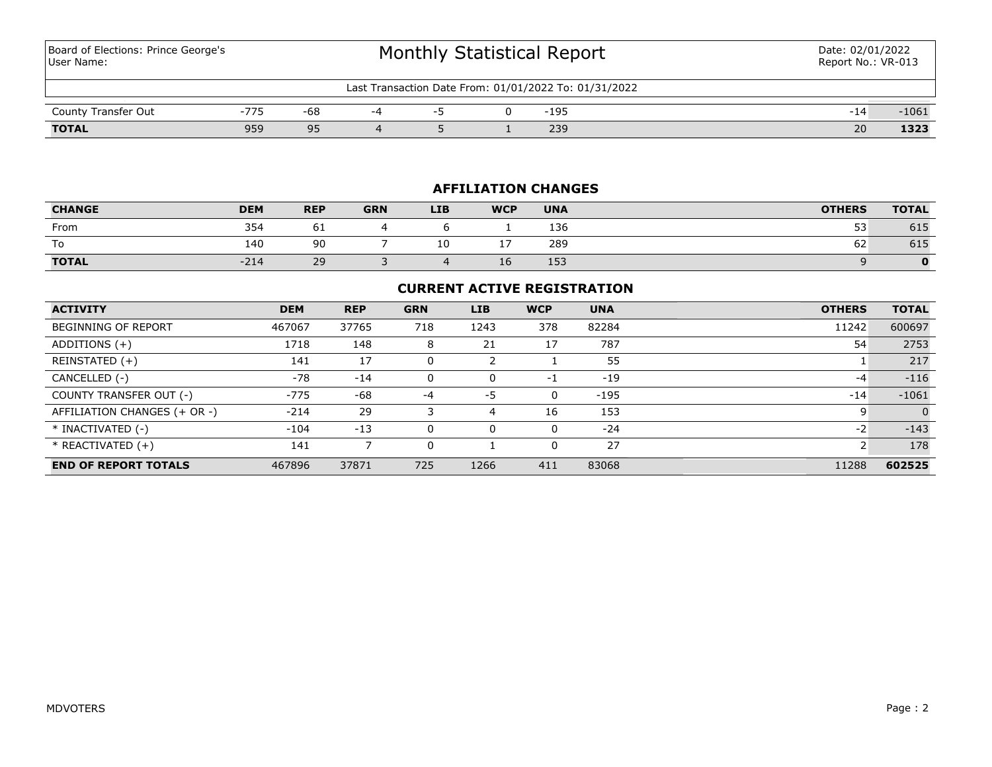Board of Elections: Prince George's User Name:

| Last Transaction Date From: 01/01/2022 To: 01/31/2022 |     |                  |  |  |  |      |                |      |
|-------------------------------------------------------|-----|------------------|--|--|--|------|----------------|------|
| County Transfer Out                                   | 775 | -68              |  |  |  | -195 | 14<br><b>.</b> | 1061 |
| <b>TOTAL</b>                                          | 959 | Q۵<br><u>J J</u> |  |  |  | 239  | 20             | 1323 |

## **AFFILIATION CHANGES**

| <b>CHANGE</b> | <b>DEM</b> | <b>REP</b> | <b>GRN</b> | <b>LIB</b> | <b>WCP</b> | <b>UNA</b> | <b>OTHERS</b>   | <b>TOTAL</b> |
|---------------|------------|------------|------------|------------|------------|------------|-----------------|--------------|
| From          | 354        | σ1         |            |            |            | 136        | --<br><b>JJ</b> | 615          |
| To            | 140        | 90         |            | 10         |            | 289        | --<br>62        | 615          |
| <b>TOTAL</b>  | $-214$     | 29         |            |            | 10         | 153        |                 |              |

## **CURRENT ACTIVE REGISTRATION**

| <b>ACTIVITY</b>              | <b>DEM</b> | <b>REP</b> | <b>GRN</b> | <b>LIB</b> | <b>WCP</b> | <b>UNA</b> | <b>OTHERS</b> | <b>TOTAL</b> |
|------------------------------|------------|------------|------------|------------|------------|------------|---------------|--------------|
| <b>BEGINNING OF REPORT</b>   | 467067     | 37765      | 718        | 1243       | 378        | 82284      | 11242         | 600697       |
| ADDITIONS (+)                | 1718       | 148        | 8          | 21         | 17         | 787        | 54            | 2753         |
| REINSTATED (+)               | 141        | 17         |            |            |            | 55         |               | 217          |
| CANCELLED (-)                | $-78$      | $-14$      |            | 0          | -1         | $-19$      | $-4$          | $-116$       |
| COUNTY TRANSFER OUT (-)      | $-775$     | $-68$      | -4         | -5         | $\Omega$   | $-195$     | $-14$         | $-1061$      |
| AFFILIATION CHANGES (+ OR -) | $-214$     | 29         |            | 4          | 16         | 153        |               | $\Omega$     |
| * INACTIVATED (-)            | $-104$     | $-13$      |            | 0          | $\Omega$   | $-24$      | $-2$          | $-143$       |
| $*$ REACTIVATED $(+)$        | 141        |            |            |            | $\Omega$   | 27         | ∍             | 178          |
| <b>END OF REPORT TOTALS</b>  | 467896     | 37871      | 725        | 1266       | 411        | 83068      | 11288         | 602525       |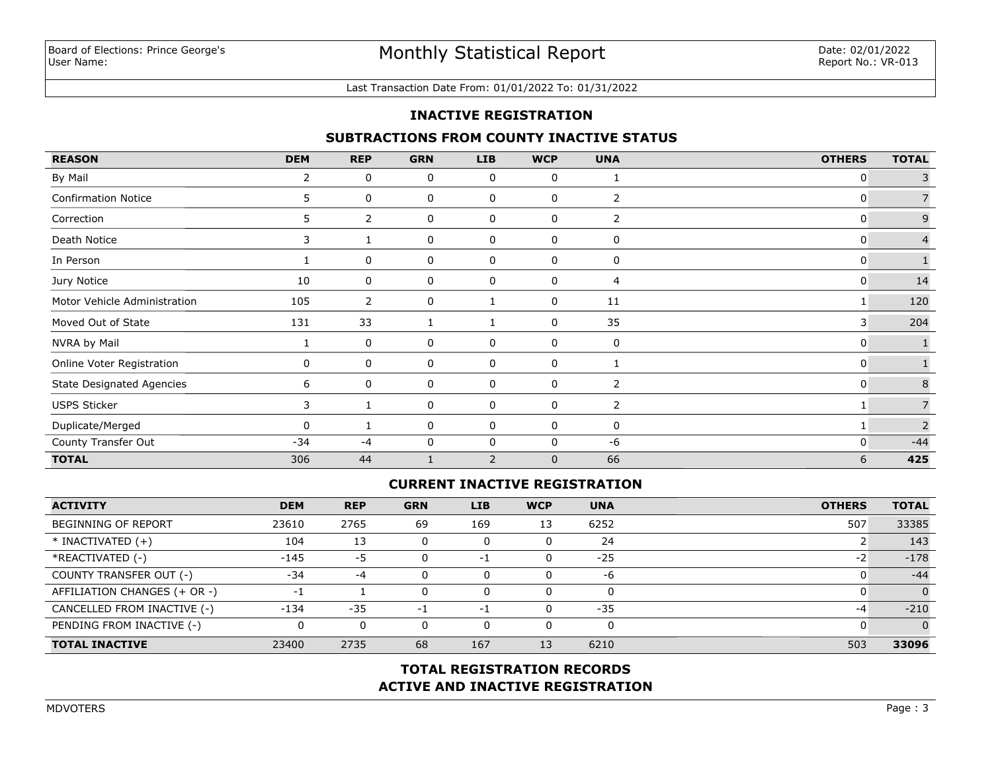#### Last Transaction Date From: 01/01/2022 To: 01/31/2022

## **INACTIVE REGISTRATION**

## **SUBTRACTIONS FROM COUNTY INACTIVE STATUS**

| <b>REASON</b>                    | <b>DEM</b>   | <b>REP</b> | <b>GRN</b> | <b>LIB</b>   | <b>WCP</b>   | <b>UNA</b>     | <b>OTHERS</b> | <b>TOTAL</b>   |
|----------------------------------|--------------|------------|------------|--------------|--------------|----------------|---------------|----------------|
| By Mail                          | $\mathbf{2}$ | 0          | 0          | 0            | 0            | 1              | 0             | 3              |
| <b>Confirmation Notice</b>       | 5            | 0          | 0          | 0            | $\mathbf 0$  | 2              | 0             |                |
| Correction                       | 5.           | 2          | 0          | 0            | 0            | $\overline{2}$ | 0             | 9              |
| Death Notice                     | 3            |            | 0          | 0            | 0            | 0              | 0             | $\overline{4}$ |
| In Person                        |              | 0          | 0          | 0            | 0            | 0              | 0             |                |
| Jury Notice                      | 10           | 0          | 0          | 0            | 0            | 4              | 0             | 14             |
| Motor Vehicle Administration     | 105          | 2          | 0          |              | 0            | 11             |               | 120            |
| Moved Out of State               | 131          | 33         | 1          |              | 0            | 35             | 3             | 204            |
| NVRA by Mail                     |              | 0          | 0          | 0            | 0            | 0              | 0             |                |
| Online Voter Registration        | 0            | 0          | 0          | 0            | 0            | $\mathbf{1}$   | 0             |                |
| <b>State Designated Agencies</b> | 6            | 0          | 0          | 0            | 0            | 2              | 0             | $\,8\,$        |
| <b>USPS Sticker</b>              | 3            |            | 0          | 0            | 0            | 2              |               | $\overline{7}$ |
| Duplicate/Merged                 | 0            | 1          | 0          | 0            | 0            | 0              | 1             | 2              |
| County Transfer Out              | $-34$        | $-4$       | 0          | $\mathbf{0}$ | $\mathbf 0$  | $-6$           | 0             | $-44$          |
| <b>TOTAL</b>                     | 306          | 44         |            | 2            | $\mathbf{0}$ | 66             | 6             | 425            |

## **CURRENT INACTIVE REGISTRATION**

| <b>ACTIVITY</b>              | <b>DEM</b> | <b>REP</b> | <b>GRN</b> | LIB | <b>WCP</b> | <b>UNA</b> | <b>OTHERS</b> | <b>TOTAL</b> |
|------------------------------|------------|------------|------------|-----|------------|------------|---------------|--------------|
| <b>BEGINNING OF REPORT</b>   | 23610      | 2765       | 69         | 169 | 13         | 6252       | 507           | 33385        |
| $*$ INACTIVATED $(+)$        | 104        | 13         | $\Omega$   | 0   | 0          | 24         |               | 143          |
| *REACTIVATED (-)             | $-145$     | -5         | $\Omega$   | -1  | 0          | $-25$      | $-2$          | $-178$       |
| COUNTY TRANSFER OUT (-)      | $-34$      | $-4$       | $\Omega$   | 0   | 0          | -6         |               | $-44$        |
| AFFILIATION CHANGES (+ OR -) |            |            | $\Omega$   | 0   | 0          |            |               | $\Omega$     |
| CANCELLED FROM INACTIVE (-)  | $-134$     | $-35$      | -1         | -1  | 0          | $-35$      | $-4$          | $-210$       |
| PENDING FROM INACTIVE (-)    |            | 0          | $\Omega$   | 0   | 0          |            |               |              |
| <b>TOTAL INACTIVE</b>        | 23400      | 2735       | 68         | 167 | 13         | 6210       | 503           | 33096        |

## **ACTIVE AND INACTIVE REGISTRATION TOTAL REGISTRATION RECORDS**